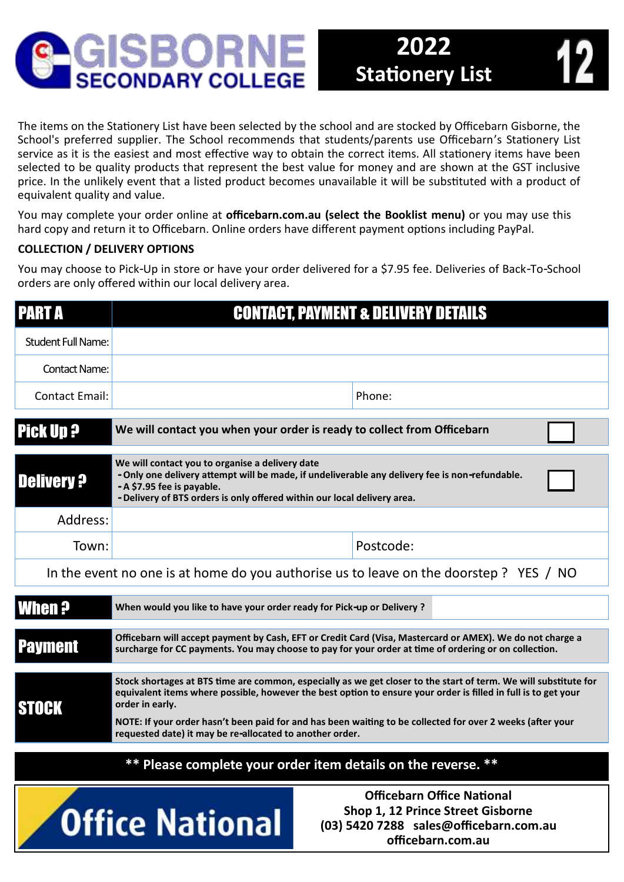

selected to be quality products that represent the best value for money and are shown at the GST inclusive price. In the unlikely event that a listed product becomes unavailable it will be substituted with a product of equivalent quality and value.

You may complete your order online at **officebarn.com.au (select the Booklist menu)** or you may use this hard copy and return it to Officebarn. Online orders have different payment options including PayPal.

## **COLLECTION / DELIVERY OPTIONS**

You may choose to Pick-Up in store or have your order delivered for a \$7.95 fee. Deliveries of Back-To-School orders are only offered within our local delivery area.

| <b>PART A</b>                                                                                                                                                   | <b>CONTACT, PAYMENT &amp; DELIVERY DETAILS</b>                                                                                                                                                                                                                                                                                                                                                                                  |           |  |  |  |  |  |
|-----------------------------------------------------------------------------------------------------------------------------------------------------------------|---------------------------------------------------------------------------------------------------------------------------------------------------------------------------------------------------------------------------------------------------------------------------------------------------------------------------------------------------------------------------------------------------------------------------------|-----------|--|--|--|--|--|
| <b>Student Full Name:</b>                                                                                                                                       |                                                                                                                                                                                                                                                                                                                                                                                                                                 |           |  |  |  |  |  |
| <b>Contact Name:</b>                                                                                                                                            |                                                                                                                                                                                                                                                                                                                                                                                                                                 |           |  |  |  |  |  |
| <b>Contact Email:</b>                                                                                                                                           |                                                                                                                                                                                                                                                                                                                                                                                                                                 | Phone:    |  |  |  |  |  |
| <b>Pick Up ?</b>                                                                                                                                                | We will contact you when your order is ready to collect from Officebarn                                                                                                                                                                                                                                                                                                                                                         |           |  |  |  |  |  |
| <b>Delivery ?</b>                                                                                                                                               | We will contact you to organise a delivery date<br>- Only one delivery attempt will be made, if undeliverable any delivery fee is non-refundable.<br>- A \$7.95 fee is payable.<br>- Delivery of BTS orders is only offered within our local delivery area.                                                                                                                                                                     |           |  |  |  |  |  |
| Address:                                                                                                                                                        |                                                                                                                                                                                                                                                                                                                                                                                                                                 |           |  |  |  |  |  |
| Town:                                                                                                                                                           |                                                                                                                                                                                                                                                                                                                                                                                                                                 | Postcode: |  |  |  |  |  |
| In the event no one is at home do you authorise us to leave on the doorstep ? YES / NO                                                                          |                                                                                                                                                                                                                                                                                                                                                                                                                                 |           |  |  |  |  |  |
| <b>When ?</b>                                                                                                                                                   | When would you like to have your order ready for Pick-up or Delivery ?                                                                                                                                                                                                                                                                                                                                                          |           |  |  |  |  |  |
| <b>Payment</b>                                                                                                                                                  | Officebarn will accept payment by Cash, EFT or Credit Card (Visa, Mastercard or AMEX). We do not charge a<br>surcharge for CC payments. You may choose to pay for your order at time of ordering or on collection.                                                                                                                                                                                                              |           |  |  |  |  |  |
| <b>STOCK</b>                                                                                                                                                    | Stock shortages at BTS time are common, especially as we get closer to the start of term. We will substitute for<br>equivalent items where possible, however the best option to ensure your order is filled in full is to get your<br>order in early.<br>NOTE: If your order hasn't been paid for and has been waiting to be collected for over 2 weeks (after your<br>requested date) it may be re-allocated to another order. |           |  |  |  |  |  |
| ** Please complete your order item details on the reverse.<br>**                                                                                                |                                                                                                                                                                                                                                                                                                                                                                                                                                 |           |  |  |  |  |  |
| <b>Officebarn Office National</b><br>Shop 1, 12 Prince Street Gisborne<br><b>Office National</b><br>(03) 5420 7288 sales@officebarn.com.au<br>officebarn.com.au |                                                                                                                                                                                                                                                                                                                                                                                                                                 |           |  |  |  |  |  |